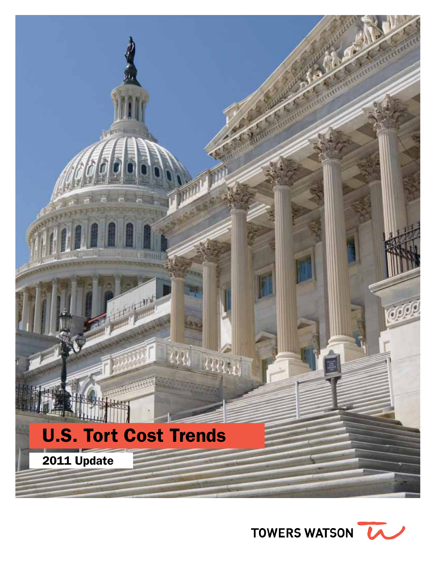

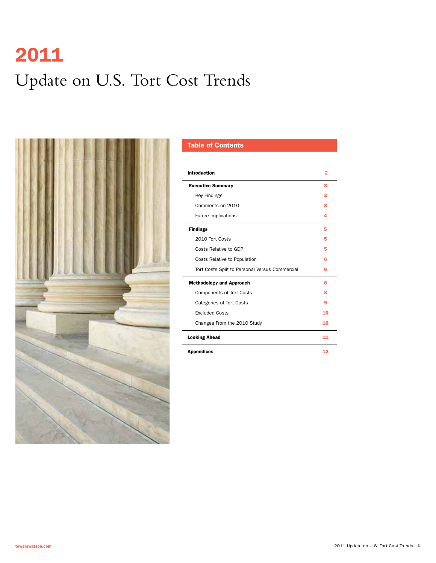# 2011 Update on U.S. Tort Cost Trends



### Table of Contents

| <b>Introduction</b>                            | 2  |
|------------------------------------------------|----|
| <b>Executive Summary</b>                       | 3  |
| <b>Key Findings</b>                            | з  |
| Comments on 2010                               | з  |
| <b>Future Implications</b>                     | 4  |
| <b>Findings</b>                                | 5  |
| 2010 Tort Costs                                | 5  |
| Costs Relative to GDP                          | 5  |
| Costs Relative to Population                   | 6  |
| Tort Costs Split to Personal Versus Commercial | 6  |
| <b>Methodology and Approach</b>                | 8  |
| <b>Components of Tort Costs</b>                | ន  |
| <b>Categories of Tort Costs</b>                | 9  |
| <b>Excluded Costs</b>                          | 10 |
| Changes From the 2010 Study                    | 10 |
| <b>Looking Ahead</b>                           | 11 |
| <b>Appendices</b>                              | 12 |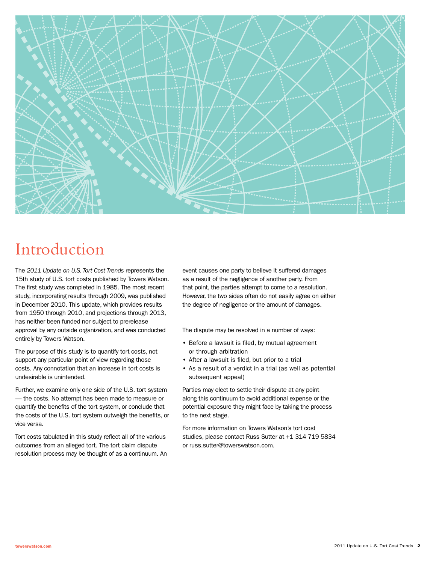

# Introduction

The *2011 Update on U.S. Tort Cost Trends* represents the 15th study of U.S. tort costs published by Towers Watson. The first study was completed in 1985. The most recent study, incorporating results through 2009, was published in December 2010. This update, which provides results from 1950 through 2010, and projections through 2013, has neither been funded nor subject to prerelease approval by any outside organization, and was conducted entirely by Towers Watson.

The purpose of this study is to quantify tort costs, not support any particular point of view regarding those costs. Any connotation that an increase in tort costs is undesirable is unintended.

Further, we examine only one side of the U.S. tort system — the costs. No attempt has been made to measure or quantify the benefits of the tort system, or conclude that the costs of the U.S. tort system outweigh the benefits, or vice versa.

Tort costs tabulated in this study reflect all of the various outcomes from an alleged tort. The tort claim dispute resolution process may be thought of as a continuum. An event causes one party to believe it suffered damages as a result of the negligence of another party. From that point, the parties attempt to come to a resolution. However, the two sides often do not easily agree on either the degree of negligence or the amount of damages.

The dispute may be resolved in a number of ways:

- Before a lawsuit is filed, by mutual agreement or through arbitration
- After a lawsuit is filed, but prior to a trial
- As a result of a verdict in a trial (as well as potential subsequent appeal)

Parties may elect to settle their dispute at any point along this continuum to avoid additional expense or the potential exposure they might face by taking the process to the next stage.

For more information on Towers Watson's tort cost studies, please contact Russ Sutter at +1 314 719 5834 or russ.sutter@towerswatson.com.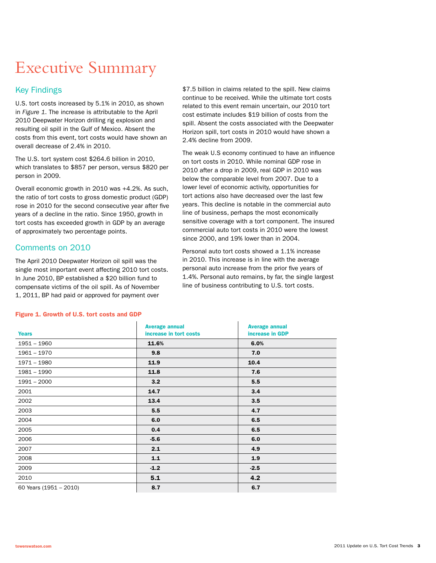# Executive Summary

### Key Findings

U.S. tort costs increased by 5.1% in 2010, as shown in *Figure 1*. The increase is attributable to the April 2010 Deepwater Horizon drilling rig explosion and resulting oil spill in the Gulf of Mexico. Absent the costs from this event, tort costs would have shown an overall decrease of 2.4% in 2010.

The U.S. tort system cost \$264.6 billion in 2010, which translates to \$857 per person, versus \$820 per person in 2009.

Overall economic growth in 2010 was +4.2%. As such, the ratio of tort costs to gross domestic product (GDP) rose in 2010 for the second consecutive year after five years of a decline in the ratio. Since 1950, growth in tort costs has exceeded growth in GDP by an average of approximately two percentage points.

### Comments on 2010

The April 2010 Deepwater Horizon oil spill was the single most important event affecting 2010 tort costs. In June 2010, BP established a \$20 billion fund to compensate victims of the oil spill. As of November 1, 2011, BP had paid or approved for payment over

\$7.5 billion in claims related to the spill. New claims continue to be received. While the ultimate tort costs related to this event remain uncertain, our 2010 tort cost estimate includes \$19 billion of costs from the spill. Absent the costs associated with the Deepwater Horizon spill, tort costs in 2010 would have shown a 2.4% decline from 2009.

The weak U.S economy continued to have an influence on tort costs in 2010. While nominal GDP rose in 2010 after a drop in 2009, real GDP in 2010 was below the comparable level from 2007. Due to a lower level of economic activity, opportunities for tort actions also have decreased over the last few years. This decline is notable in the commercial auto line of business, perhaps the most economically sensitive coverage with a tort component. The insured commercial auto tort costs in 2010 were the lowest since 2000, and 19% lower than in 2004.

Personal auto tort costs showed a 1.1% increase in 2010. This increase is in line with the average personal auto increase from the prior five years of 1.4%. Personal auto remains, by far, the single largest line of business contributing to U.S. tort costs.

|                        | <b>Average annual</b>  | <b>Average annual</b> |
|------------------------|------------------------|-----------------------|
| <b>Years</b>           | increase in tort costs | increase in GDP       |
| $1951 - 1960$          | 11.6%                  | 6.0%                  |
| 1961 - 1970            | 9.8                    | 7.0                   |
| $1971 - 1980$          | 11.9                   | 10.4                  |
| $1981 - 1990$          | 11.8                   | 7.6                   |
| $1991 - 2000$          | 3.2                    | 5.5                   |
| 2001                   | 14.7                   | 3.4                   |
| 2002                   | 13.4                   | 3.5                   |
| 2003                   | 5.5                    | 4.7                   |
| 2004                   | 6.0                    | 6.5                   |
| 2005                   | 0.4                    | 6.5                   |
| 2006                   | $-5.6$                 | 6.0                   |
| 2007                   | 2.1                    | 4.9                   |
| 2008                   | $1.1$                  | 1.9                   |
| 2009                   | $-1.2$                 | $-2.5$                |
| 2010                   | 5.1                    | 4.2                   |
| 60 Years (1951 - 2010) | 8.7                    | 6.7                   |

#### Figure 1. Growth of U.S. tort costs and GDP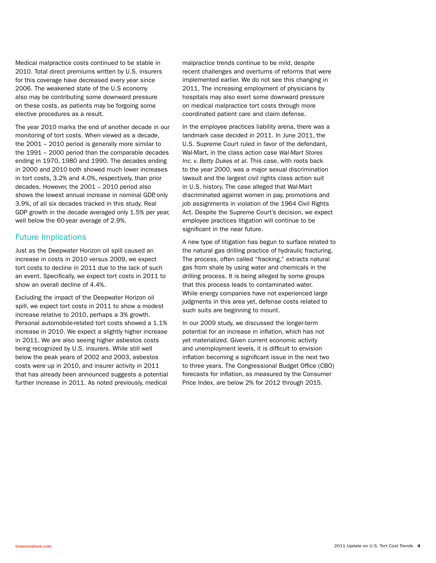Medical malpractice costs continued to be stable in 2010. Total direct premiums written by U.S. insurers for this coverage have decreased every year since 2006. The weakened state of the U.S economy also may be contributing some downward pressure on these costs, as patients may be forgoing some elective procedures as a result.

The year 2010 marks the end of another decade in our monitoring of tort costs. When viewed as a decade, the 2001 – 2010 period is generally more similar to the 1991 – 2000 period than the comparable decades ending in 1970, 1980 and 1990. The decades ending in 2000 and 2010 both showed much lower increases in tort costs, 3.2% and 4.0%, respectively, than prior decades. However, the 2001 – 2010 period also shows the lowest annual increase in nominal GDP, only 3.9%, of all six decades tracked in this study. Real GDP growth in the decade averaged only 1.5% per year, well below the 60-year average of 2.9%.

### Future Implications

Just as the Deepwater Horizon oil spill caused an increase in costs in 2010 versus 2009, we expect tort costs to decline in 2011 due to the lack of such an event. Specifically, we expect tort costs in 2011 to show an overall decline of 4.4%.

Excluding the impact of the Deepwater Horizon oil spill, we expect tort costs in 2011 to show a modest increase relative to 2010, perhaps a 3% growth. Personal automobile-related tort costs showed a 1.1% increase in 2010. We expect a slightly higher increase in 2011. We are also seeing higher asbestos costs being recognized by U.S. insurers. While still well below the peak years of 2002 and 2003, asbestos costs were up in 2010, and insurer activity in 2011 that has already been announced suggests a potential further increase in 2011. As noted previously, medical malpractice trends continue to be mild, despite recent challenges and overturns of reforms that were implemented earlier. We do not see this changing in 2011. The increasing employment of physicians by hospitals may also exert some downward pressure on medical malpractice tort costs through more coordinated patient care and claim defense.

In the employee practices liability arena, there was a landmark case decided in 2011. In June 2011, the U.S. Supreme Court ruled in favor of the defendant, Wal-Mart, in the class action case *Wal-Mart Stores Inc. v. Betty Dukes et al*. This case, with roots back to the year 2000, was a major sexual discrimination lawsuit and the largest civil rights class action suit in U.S. history. The case alleged that Wal-Mart discriminated against women in pay, promotions and job assignments in violation of the 1964 Civil Rights Act. Despite the Supreme Court's decision, we expect employee practices litigation will continue to be significant in the near future.

A new type of litigation has begun to surface related to the natural gas drilling practice of hydraulic fracturing. The process, often called "fracking," extracts natural gas from shale by using water and chemicals in the drilling process. It is being alleged by some groups that this process leads to contaminated water. While energy companies have not experienced large judgments in this area yet, defense costs related to such suits are beginning to mount.

In our 2009 study, we discussed the longer-term potential for an increase in inflation, which has not yet materialized. Given current economic activity and unemployment levels, it is difficult to envision inflation becoming a significant issue in the next two to three years. The Congressional Budget Office (CBO) forecasts for inflation, as measured by the Consumer Price Index, are below 2% for 2012 through 2015.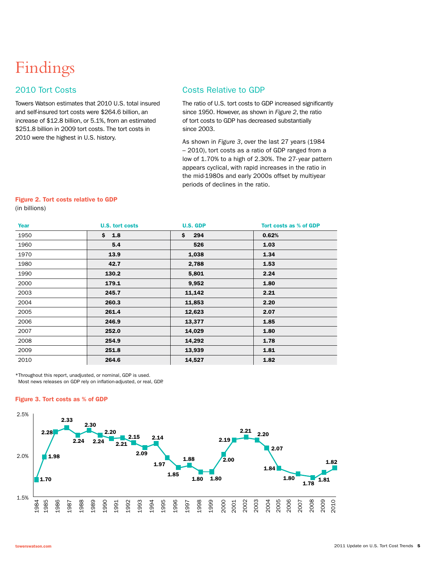# Findings

### 2010 Tort Costs

Towers Watson estimates that 2010 U.S. total insured and self-insured tort costs were \$264.6 billion, an increase of \$12.8 billion, or 5.1%, from an estimated \$251.8 billion in 2009 tort costs. The tort costs in 2010 were the highest in U.S. history.

### Costs Relative to GDP

The ratio of U.S. tort costs to GDP increased significantly since 1950. However, as shown in *Figure 2*, the ratio of tort costs to GDP has decreased substantially since 2003.

As shown in *Figure 3*, over the last 27 years (1984 – 2010), tort costs as a ratio of GDP ranged from a low of 1.70% to a high of 2.30%. The 27- year pattern appears cyclical, with rapid increases in the ratio in the mid-1980s and early 2000s offset by multiyear periods of declines in the ratio.

#### Figure 2. Tort costs relative to GDP (in billions)

| Year | <b>U.S. tort costs</b> | <b>U.S. GDP</b> | Tort costs as % of GDP |
|------|------------------------|-----------------|------------------------|
| 1950 | \$ 1.8                 | \$.<br>294      | 0.62%                  |
| 1960 | 5.4                    | 526             | 1.03                   |
| 1970 | 13.9                   | 1,038           | 1.34                   |
| 1980 | 42.7                   | 2,788           | 1.53                   |
| 1990 | 130.2                  | 5,801           | 2.24                   |
| 2000 | 179.1                  | 9,952           | 1.80                   |
| 2003 | 245.7                  | 11,142          | 2.21                   |
| 2004 | 260.3                  | 11,853          | 2.20                   |
| 2005 | 261.4                  | 12,623          | 2.07                   |
| 2006 | 246.9                  | 13,377          | 1.85                   |
| 2007 | 252.0                  | 14,029          | 1.80                   |
| 2008 | 254.9                  | 14,292          | 1.78                   |
| 2009 | 251.8                  | 13,939          | 1.81                   |
| 2010 | 264.6                  | 14,527          | 1.82                   |

\*Throughout this report, unadjusted, or nominal, GDP is used. Most news releases on GDP rely on inflation-adjusted, or real, GDP.

#### Figure 3. Tort costs as % of GDP

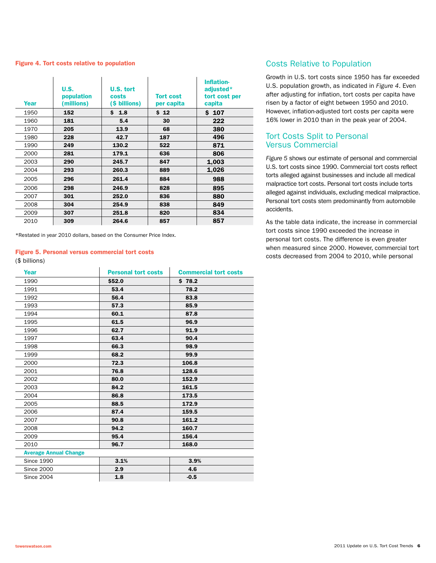#### Figure 4. Tort costs relative to population

| Year | U.S.<br>population<br>(millions) | U.S. tort<br>costs<br>(\$ billions) | <b>Tort cost</b><br>per capita | Inflation-<br>adjusted*<br>tort cost per<br>capita |
|------|----------------------------------|-------------------------------------|--------------------------------|----------------------------------------------------|
| 1950 | 152                              | \$1.8                               | \$12                           | \$107                                              |
| 1960 | 181                              | 5.4                                 | 30                             | 222                                                |
| 1970 | 205                              | 13.9                                | 68                             | 380                                                |
| 1980 | 228                              | 42.7                                | 187                            | 496                                                |
| 1990 | 249                              | 130.2                               | 522                            | 871                                                |
| 2000 | 281                              | 179.1                               | 636                            | 806                                                |
| 2003 | 290                              | 245.7                               | 847                            | 1,003                                              |
| 2004 | 293                              | 260.3                               | 889                            | 1,026                                              |
| 2005 | 296                              | 261.4                               | 884                            | 988                                                |
| 2006 | 298                              | 246.9                               | 828                            | 895                                                |
| 2007 | 301                              | 252.0                               | 836                            | 880                                                |
| 2008 | 304                              | 254.9                               | 838                            | 849                                                |
| 2009 | 307                              | 251.8                               | 820                            | 834                                                |
| 2010 | 309                              | 264.6                               | 857                            | 857                                                |

\*Restated in year 2010 dollars, based on the Consumer Price Index.

#### Figure 5. Personal versus commercial tort costs

#### (\$ billions)

| Year                         | <b>Personal tort costs</b> | <b>Commercial tort costs</b> |
|------------------------------|----------------------------|------------------------------|
| 1990                         | \$52.0                     | \$78.2                       |
| 1991                         | 53.4                       | 78.2                         |
| 1992                         | 56.4                       | 83.8                         |
| 1993                         | 57.3                       | 85.9                         |
| 1994                         | 60.1                       | 87.8                         |
| 1995                         | 61.5                       | 96.9                         |
| 1996                         | 62.7                       | 91.9                         |
| 1997                         | 63.4                       | 90.4                         |
| 1998                         | 66.3                       | 98.9                         |
| 1999                         | 68.2                       | 99.9                         |
| 2000                         | 72.3                       | 106.8                        |
| 2001                         | 76.8                       | 128.6                        |
| 2002                         | 80.0                       | 152.9                        |
| 2003                         | 84.2                       | 161.5                        |
| 2004                         | 86.8                       | 173.5                        |
| 2005                         | 88.5                       | 172.9                        |
| 2006                         | 87.4                       | 159.5                        |
| 2007                         | 90.8                       | 161.2                        |
| 2008                         | 94.2                       | 160.7                        |
| 2009                         | 95.4                       | 156.4                        |
| 2010                         | 96.7                       | 168.0                        |
| <b>Average Annual Change</b> |                            |                              |
| <b>Since 1990</b>            | 3.1%                       | 3.9%                         |
| <b>Since 2000</b>            | 2.9                        | 4.6                          |
| <b>Since 2004</b>            | 1.8                        | $-0.5$                       |

#### Costs Relative to Population

Growth in U.S. tort costs since 1950 has far exceeded U.S. population growth, as indicated in *Figure 4*. Even after adjusting for inflation, tort costs per capita have risen by a factor of eight between 1950 and 2010. However, inflation-adjusted tort costs per capita were 16% lower in 2010 than in the peak year of 2004.

#### Tort Costs Split to Personal Versus Commercial

*Figure 5* shows our estimate of personal and commercial U.S. tort costs since 1990. Commercial tort costs reflect torts alleged against businesses and include all medical malpractice tort costs. Personal tort costs include torts alleged against individuals, excluding medical malpractice. Personal tort costs stem predominantly from automobile accidents.

As the table data indicate, the increase in commercial tort costs since 1990 exceeded the increase in personal tort costs. The difference is even greater when measured since 2000. However, commercial tort costs decreased from 2004 to 2010, while personal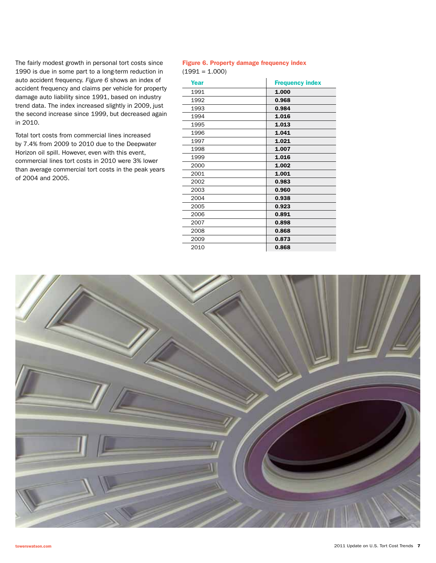The fairly modest growth in personal tort costs since 1990 is due in some part to a long-term reduction in auto accident frequency. *Figure 6* shows an index of accident frequency and claims per vehicle for property damage auto liability since 1991, based on industry trend data. The index increased slightly in 2009, just the second increase since 1999, but decreased again in 2010.

Total tort costs from commercial lines increased by 7.4% from 2009 to 2010 due to the Deepwater Horizon oil spill. However, even with this event, commercial lines tort costs in 2010 were 3% lower than average commercial tort costs in the peak years of 2004 and 2005.

#### Figure 6. Property damage frequency index  $(1991 = 1.000)$

| Year | <b>Frequency index</b> |
|------|------------------------|
| 1991 | 1.000                  |
| 1992 | 0.968                  |
| 1993 | 0.984                  |
| 1994 | 1.016                  |
| 1995 | 1.013                  |
| 1996 | 1.041                  |
| 1997 | 1.021                  |
| 1998 | 1.007                  |
| 1999 | 1.016                  |
| 2000 | 1.002                  |
| 2001 | 1.001                  |
| 2002 | 0.983                  |
| 2003 | 0.960                  |
| 2004 | 0.938                  |
| 2005 | 0.923                  |
| 2006 | 0.891                  |
| 2007 | 0.898                  |
| 2008 | 0.868                  |
| 2009 | 0.873                  |
| 2010 | 0.868                  |

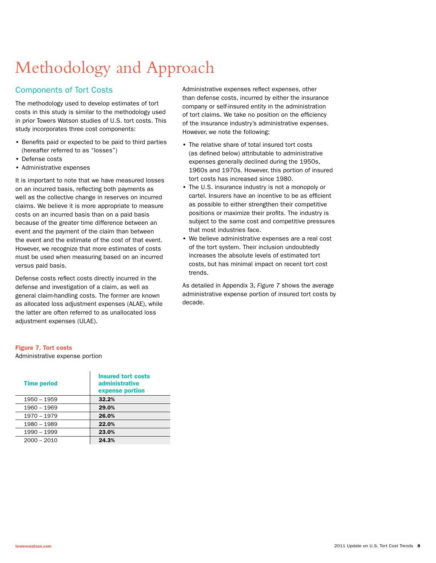# Methodology and Approach

### Components of Tort Costs

The methodology used to develop estimates of tort costs in this study is similar to the methodology used in prior Towers Watson studies of U.S. tort costs. This study incorporates three cost components:

- Benefits paid or expected to be paid to third parties (hereafter referred to as "losses")
- Defense costs
- Administrative expenses

It is important to note that we have measured losses on an incurred basis, reflecting both payments as well as the collective change in reserves on incurred claims. We believe it is more appropriate to measure costs on an incurred basis than on a paid basis because of the greater time difference between an event and the payment of the claim than between the event and the estimate of the cost of that event. However, we recognize that more estimates of costs must be used when measuring based on an incurred versus paid basis.

Defense costs reflect costs directly incurred in the defense and investigation of a claim, as well as general claim-handling costs. The former are known as allocated loss adjustment expenses (ALAE), while the latter are often referred to as unallocated loss adjustment expenses (ULAE).

Administrative expenses reflect expenses, other than defense costs, incurred by either the insurance company or self-insured entity in the administration of tort claims. We take no position on the efficiency of the insurance industry's administrative expenses. However, we note the following:

- The relative share of total insured tort costs (as defined below) attributable to administrative expenses generally declined during the 1950s, 1960s and 1970s. However, this portion of insured tort costs has increased since 1980.
- The U.S. insurance industry is not a monopoly or cartel. Insurers have an incentive to be as efficient as possible to either strengthen their competitive positions or maximize their profits. The industry is subject to the same cost and competitive pressures that most industries face.
- We believe administrative expenses are a real cost of the tort system. Their inclusion undoubtedly increases the absolute levels of estimated tort costs, but has minimal impact on recent tort cost trends.

As detailed in Appendix 3, *Figure 7* shows the average administrative expense portion of insured tort costs by decade.

#### Figure 7. Tort costs

Administrative expense portion

| <b>Time period</b> | <b>Insured tort costs</b><br>administrative<br>expense portion |
|--------------------|----------------------------------------------------------------|
| 1950 - 1959        | 32.2%                                                          |
| 1960 - 1969        | 29.0%                                                          |
| 1970 - 1979        | 26.0%                                                          |
| 1980 - 1989        | 22.0%                                                          |
| 1990 - 1999        | 23.0%                                                          |
| $2000 - 2010$      | 24.3%                                                          |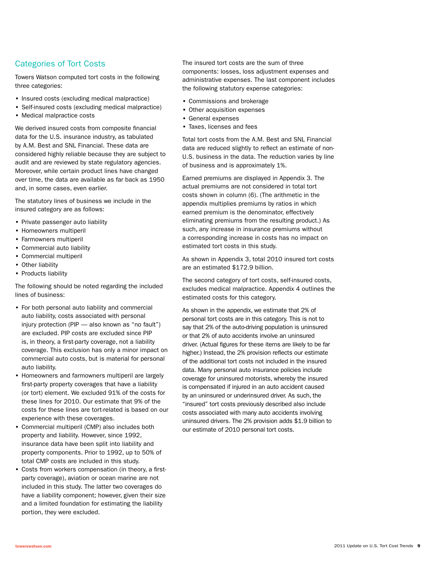### Categories of Tort Costs

Towers Watson computed tort costs in the following three categories:

- Insured costs (excluding medical malpractice)
- Self-insured costs (excluding medical malpractice)
- Medical malpractice costs

We derived insured costs from composite financial data for the U.S. insurance industry, as tabulated by A.M. Best and SNL Financial. These data are considered highly reliable because they are subject to audit and are reviewed by state regulatory agencies. Moreover, while certain product lines have changed over time, the data are available as far back as 1950 and, in some cases, even earlier.

The statutory lines of business we include in the insured category are as follows:

- Private passenger auto liability
- Homeowners multiperil
- Farmowners multiperil
- Commercial auto liability
- Commercial multiperil
- Other liability
- Products liability

The following should be noted regarding the included lines of business:

- For both personal auto liability and commercial auto liability, costs associated with personal injury protection (PIP — also known as "no fault") are excluded. PIP costs are excluded since PIP is, in theory, a first-party coverage, not a liability coverage. This exclusion has only a minor impact on commercial auto costs, but is material for personal auto liability.
- Homeowners and farmowners multiperil are largely first-party property coverages that have a liability (or tort) element. We excluded 91% of the costs for these lines for 2010. Our estimate that 9% of the costs for these lines are tort-related is based on our experience with these coverages.
- Commercial multiperil (CMP) also includes both property and liability. However, since 1992, insurance data have been split into liability and property components. Prior to 1992, up to 50% of total CMP costs are included in this study.
- Costs from workers compensation (in theory, a firstparty coverage), aviation or ocean marine are not included in this study. The latter two coverages do have a liability component; however, given their size and a limited foundation for estimating the liability portion, they were excluded.

The insured tort costs are the sum of three components: losses, loss adjustment expenses and administrative expenses. The last component includes the following statutory expense categories:

- Commissions and brokerage
- Other acquisition expenses
- General expenses
- Taxes, licenses and fees

Total tort costs from the A.M. Best and SNL Financial data are reduced slightly to reflect an estimate of non-U.S. business in the data. The reduction varies by line of business and is approximately 1%.

Earned premiums are displayed in Appendix 3. The actual premiums are not considered in total tort costs shown in column (6). (The arithmetic in the appendix multiplies premiums by ratios in which earned premium is the denominator, effectively eliminating premiums from the resulting product.) As such, any increase in insurance premiums without a corresponding increase in costs has no impact on estimated tort costs in this study.

As shown in Appendix 3, total 2010 insured tort costs are an estimated \$172.9 billion.

The second category of tort costs, self-insured costs, excludes medical malpractice. Appendix 4 outlines the estimated costs for this category.

As shown in the appendix, we estimate that 2% of personal tort costs are in this category. This is not to say that 2% of the auto-driving population is uninsured or that 2% of auto accidents involve an uninsured driver. (Actual figures for these items are likely to be far higher.) Instead, the 2% provision reflects our estimate of the additional tort costs not included in the insured data. Many personal auto insurance policies include coverage for uninsured motorists, whereby the insured is compensated if injured in an auto accident caused by an uninsured or underinsured driver. As such, the "insured" tort costs previously described also include costs associated with many auto accidents involving uninsured drivers. The 2% provision adds \$1.9 billion to our estimate of 2010 personal tort costs.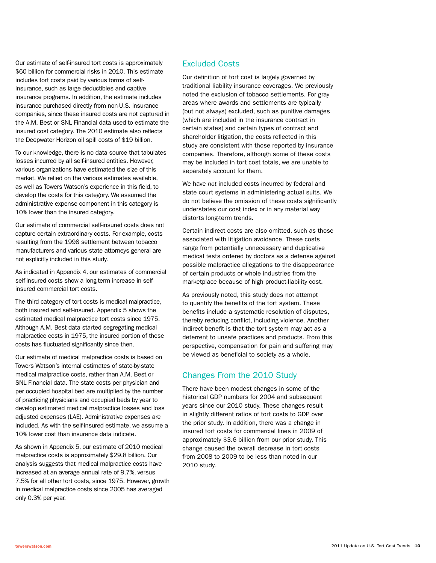Our estimate of self-insured tort costs is approximately \$60 billion for commercial risks in 2010. This estimate includes tort costs paid by various forms of selfinsurance, such as large deductibles and captive insurance programs. In addition, the estimate includes insurance purchased directly from non-U.S. insurance companies, since these insured costs are not captured in the A.M. Best or SNL Financial data used to estimate the insured cost category. The 2010 estimate also reflects the Deepwater Horizon oil spill costs of \$19 billion.

To our knowledge, there is no data source that tabulates losses incurred by all self-insured entities. However, various organizations have estimated the size of this market. We relied on the various estimates available, as well as Towers Watson's experience in this field, to develop the costs for this category. We assumed the administrative expense component in this category is 10% lower than the insured category.

Our estimate of commercial self-insured costs does not capture certain extraordinary costs. For example, costs resulting from the 1998 settlement between tobacco manufacturers and various state attorneys general are not explicitly included in this study.

As indicated in Appendix 4, our estimates of commercial self-insured costs show a long-term increase in selfinsured commercial tort costs.

The third category of tort costs is medical malpractice, both insured and self-insured. Appendix 5 shows the estimated medical malpractice tort costs since 1975. Although A.M. Best data started segregating medical malpractice costs in 1975, the insured portion of these costs has fluctuated significantly since then.

Our estimate of medical malpractice costs is based on Towers Watson's internal estimates of state-by-state medical malpractice costs, rather than A.M. Best or SNL Financial data. The state costs per physician and per occupied hospital bed are multiplied by the number of practicing physicians and occupied beds by year to develop estimated medical malpractice losses and loss adjusted expenses (LAE). Administrative expenses are included. As with the self-insured estimate, we assume a 10% lower cost than insurance data indicate.

As shown in Appendix 5, our estimate of 2010 medical malpractice costs is approximately \$29.8 billion. Our analysis suggests that medical malpractice costs have increased at an average annual rate of 9.7%, versus 7.5% for all other tort costs, since 1975. However, growth in medical malpractice costs since 2005 has averaged only 0.3% per year.

### Excluded Costs

Our definition of tort cost is largely governed by traditional liability insurance coverages. We previously noted the exclusion of tobacco settlements. For gray areas where awards and settlements are typically (but not always) excluded, such as punitive damages (which are included in the insurance contract in certain states) and certain types of contract and shareholder litigation, the costs reflected in this study are consistent with those reported by insurance companies. Therefore, although some of these costs may be included in tort cost totals, we are unable to separately account for them.

We have *not* included costs incurred by federal and state court systems in administering actual suits. We do not believe the omission of these costs significantly understates our cost index or in any material way distorts long-term trends.

Certain indirect costs are also omitted, such as those associated with litigation avoidance. These costs range from potentially unnecessary and duplicative medical tests ordered by doctors as a defense against possible malpractice allegations to the disappearance of certain products or whole industries from the marketplace because of high product-liability cost.

As previously noted, this study does not attempt to quantify the benefits of the tort system. These benefits include a systematic resolution of disputes, thereby reducing conflict, including violence. Another indirect benefit is that the tort system may act as a deterrent to unsafe practices and products. From this perspective, compensation for pain and suffering may be viewed as beneficial to society as a whole.

### Changes From the 2010 Study

There have been modest changes in some of the historical GDP numbers for 2004 and subsequent years since our 2010 study. These changes result in slightly different ratios of tort costs to GDP over the prior study. In addition, there was a change in insured tort costs for commercial lines in 2009 of approximately \$3.6 billion from our prior study. This change caused the overall decrease in tort costs from 2008 to 2009 to be less than noted in our 2010 study.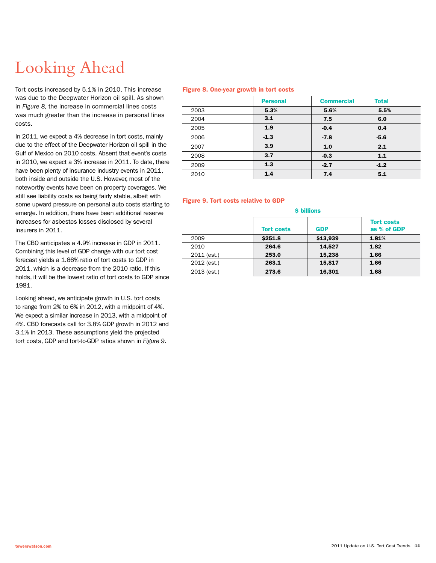# Looking Ahead

Tort costs increased by 5.1% in 2010. This increase was due to the Deepwater Horizon oil spill. As shown in *Figure 8,* the increase in commercial lines costs was much greater than the increase in personal lines costs.

In 2011, we expect a 4% decrease in tort costs, mainly due to the effect of the Deepwater Horizon oil spill in the Gulf of Mexico on 2010 costs. Absent that event's costs in 2010, we expect a 3% increase in 2011. To date, there have been plenty of insurance industry events in 2011, both inside and outside the U.S. However, most of the noteworthy events have been on property coverages. We still see liability costs as being fairly stable, albeit with some upward pressure on personal auto costs starting to emerge. In addition, there have been additional reserve increases for asbestos losses disclosed by several insurers in 2011.

The CBO anticipates a 4.9% increase in GDP in 2011. Combining this level of GDP change with our tort cost forecast yields a 1.66% ratio of tort costs to GDP in 2011, which is a decrease from the 2010 ratio. If this holds, it will be the lowest ratio of tort costs to GDP since 1981.

Looking ahead, we anticipate growth in U.S. tort costs to range from 2% to 6% in 2012, with a midpoint of 4%. We expect a similar increase in 2013, with a midpoint of 4%. CBO forecasts call for 3.8% GDP growth in 2012 and 3.1% in 2013. These assumptions yield the projected tort costs, GDP and tort-to-GDP ratios shown in *Figure 9*.

#### Figure 8. One-year growth in tort costs

|      | <b>Personal</b> | <b>Commercial</b> | <b>Total</b> |
|------|-----------------|-------------------|--------------|
| 2003 | 5.3%            | 5.6%              | 5.5%         |
| 2004 | 3.1             | 7.5               | 6.0          |
| 2005 | 1.9             | $-0.4$            | 0.4          |
| 2006 | $-1.3$          | $-7.8$            | $-5.6$       |
| 2007 | 3.9             | 1.0               | 2.1          |
| 2008 | 3.7             | $-0.3$            | 1.1          |
| 2009 | 1.3             | $-2.7$            | $-1.2$       |
| 2010 | 1.4             | 7.4               | 5.1          |

#### Figure 9. Tort costs relative to GDP

| <b>\$ billions</b> |                   |            |                                  |  |  |
|--------------------|-------------------|------------|----------------------------------|--|--|
|                    | <b>Tort costs</b> | <b>GDP</b> | <b>Tort costs</b><br>as % of GDP |  |  |
| 2009               | \$251.8           | \$13,939   | 1.81%                            |  |  |
| 2010               | 264.6             | 14.527     | 1.82                             |  |  |
| 2011 (est.)        | 253.0             | 15,238     | 1.66                             |  |  |
| 2012 (est.)        | 263.1             | 15,817     | 1.66                             |  |  |
| 2013 (est.)        | 273.6             | 16,301     | 1.68                             |  |  |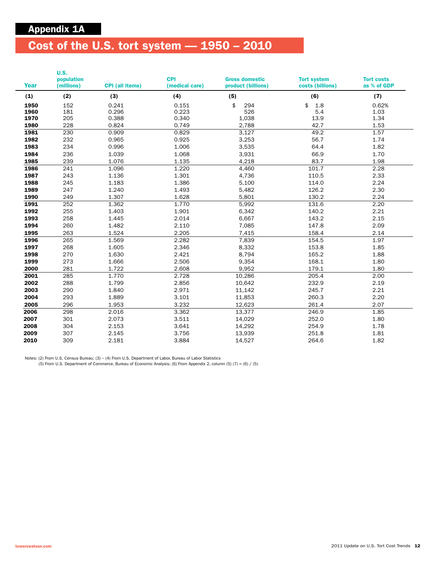# Cost of the U.S. tort system — 1950 – 2010

| Year | U.S.<br>population<br>(millions) | <b>CPI</b> (all items) | <b>CPI</b><br>(medical care) | <b>Gross domestic</b><br>product (billions) | <b>Tort system</b><br>costs (billions) | <b>Tort costs</b><br>as % of GDP |
|------|----------------------------------|------------------------|------------------------------|---------------------------------------------|----------------------------------------|----------------------------------|
| (1)  | (2)                              | (3)                    | (4)                          | (5)                                         | (6)                                    | (7)                              |
| 1950 | 152                              | 0.241                  | 0.151                        | \$<br>294                                   | \$<br>1.8                              | 0.62%                            |
| 1960 | 181                              | 0.296                  | 0.223                        | 526                                         | 5.4                                    | 1.03                             |
| 1970 | 205                              | 0.388                  | 0.340                        | 1,038                                       | 13.9                                   | 1.34                             |
| 1980 | 228                              | 0.824                  | 0.749                        | 2,788                                       | 42.7                                   | 1.53                             |
| 1981 | 230                              | 0.909                  | 0.829                        | 3,127                                       | 49.2                                   | 1.57                             |
| 1982 | 232                              | 0.965                  | 0.925                        | 3,253                                       | 56.7                                   | 1.74                             |
| 1983 | 234                              | 0.996                  | 1.006                        | 3,535                                       | 64.4                                   | 1.82                             |
| 1984 | 236                              | 1.039                  | 1.068                        | 3,931                                       | 66.9                                   | 1.70                             |
| 1985 | 239                              | 1.076                  | 1.135                        | 4,218                                       | 83.7                                   | 1.98                             |
| 1986 | 241                              | 1.096                  | 1.220                        | 4,460                                       | 101.7                                  | 2.28                             |
| 1987 | 243                              | 1.136                  | 1.301                        | 4,736                                       | 110.5                                  | 2.33                             |
| 1988 | 245                              | 1.183                  | 1.386                        | 5,100                                       | 114.0                                  | 2.24                             |
| 1989 | 247                              | 1.240                  | 1.493                        | 5,482                                       | 126.2                                  | 2.30                             |
| 1990 | 249                              | 1.307                  | 1.628                        | 5,801                                       | 130.2                                  | 2.24                             |
| 1991 | 252                              | 1.362                  | 1.770                        | 5,992                                       | 131.6                                  | 2.20                             |
| 1992 | 255                              | 1.403                  | 1.901                        | 6,342                                       | 140.2                                  | 2.21                             |
| 1993 | 258                              | 1.445                  | 2.014                        | 6,667                                       | 143.2                                  | 2.15                             |
| 1994 | 260                              | 1.482                  | 2.110                        | 7,085                                       | 147.8                                  | 2.09                             |
| 1995 | 263                              | 1.524                  | 2.205                        | 7,415                                       | 158.4                                  | 2.14                             |
| 1996 | 265                              | 1.569                  | 2.282                        | 7,839                                       | 154.5                                  | 1.97                             |
| 1997 | 268                              | 1.605                  | 2.346                        | 8,332                                       | 153.8                                  | 1.85                             |
| 1998 | 270                              | 1.630                  | 2.421                        | 8,794                                       | 165.2                                  | 1.88                             |
| 1999 | 273                              | 1.666                  | 2.506                        | 9,354                                       | 168.1                                  | 1.80                             |
| 2000 | 281                              | 1.722                  | 2.608                        | 9,952                                       | 179.1                                  | 1.80                             |
| 2001 | 285                              | 1.770                  | 2.728                        | 10,286                                      | 205.4                                  | 2.00                             |
| 2002 | 288                              | 1.799                  | 2.856                        | 10,642                                      | 232.9                                  | 2.19                             |
| 2003 | 290                              | 1.840                  | 2.971                        | 11,142                                      | 245.7                                  | 2.21                             |
| 2004 | 293                              | 1.889                  | 3.101                        | 11,853                                      | 260.3                                  | 2.20                             |
| 2005 | 296                              | 1.953                  | 3.232                        | 12,623                                      | 261.4                                  | 2.07                             |
| 2006 | 298                              | 2.016                  | 3.362                        | 13,377                                      | 246.9                                  | 1.85                             |
| 2007 | 301                              | 2.073                  | 3.511                        | 14,029                                      | 252.0                                  | 1.80                             |
| 2008 | 304                              | 2.153                  | 3.641                        | 14,292                                      | 254.9                                  | 1.78                             |
| 2009 | 307                              | 2.145                  | 3.756                        | 13,939                                      | 251.8                                  | 1.81                             |
| 2010 | 309                              | 2.181                  | 3.884                        | 14,527                                      | 264.6                                  | 1.82                             |

Notes: (2) From U.S. Census Bureau; (3) – (4) From U.S. Department of Labor, Bureau of Labor Statistics (5) From U.S. Department of Commerce, Bureau of Economic Analysis; (6) From Appendix 2, column (5) (7) = (6) / (5)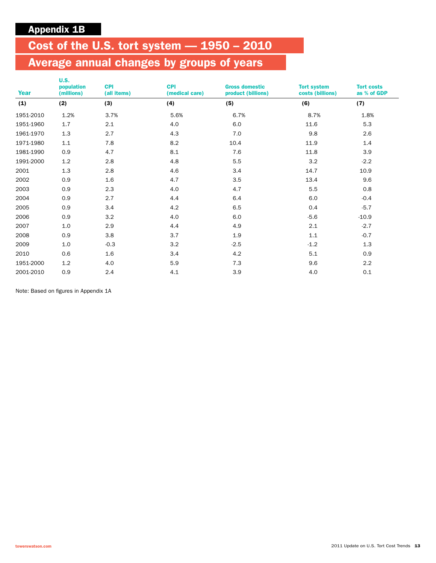# Cost of the U.S. tort system — 1950 – 2010

# Average annual changes by groups of years

| Year      | <b>U.S.</b><br>population<br>(millions) | <b>CPI</b><br>(all items) | <b>CPI</b><br>(medical care) | <b>Gross domestic</b><br>product (billions) | <b>Tort system</b><br>costs (billions) | <b>Tort costs</b><br>as % of GDP |
|-----------|-----------------------------------------|---------------------------|------------------------------|---------------------------------------------|----------------------------------------|----------------------------------|
| (1)       | (2)                                     | (3)                       | (4)                          | (5)                                         | (6)                                    | (7)                              |
| 1951-2010 | 1.2%                                    | 3.7%                      | 5.6%                         | 6.7%                                        | 8.7%                                   | 1.8%                             |
| 1951-1960 | 1.7                                     | 2.1                       | 4.0                          | 6.0                                         | 11.6                                   | 5.3                              |
| 1961-1970 | 1.3                                     | 2.7                       | 4.3                          | 7.0                                         | 9.8                                    | 2.6                              |
| 1971-1980 | 1.1                                     | 7.8                       | 8.2                          | 10.4                                        | 11.9                                   | 1.4                              |
| 1981-1990 | 0.9                                     | 4.7                       | 8.1                          | 7.6                                         | 11.8                                   | 3.9                              |
| 1991-2000 | 1.2                                     | 2.8                       | 4.8                          | 5.5                                         | 3.2                                    | $-2.2$                           |
| 2001      | 1.3                                     | 2.8                       | 4.6                          | 3.4                                         | 14.7                                   | 10.9                             |
| 2002      | 0.9                                     | 1.6                       | 4.7                          | 3.5                                         | 13.4                                   | 9.6                              |
| 2003      | 0.9                                     | 2.3                       | 4.0                          | 4.7                                         | 5.5                                    | 0.8                              |
| 2004      | 0.9                                     | 2.7                       | 4.4                          | 6.4                                         | 6.0                                    | $-0.4$                           |
| 2005      | 0.9                                     | 3.4                       | 4.2                          | 6.5                                         | 0.4                                    | $-5.7$                           |
| 2006      | 0.9                                     | 3.2                       | 4.0                          | 6.0                                         | $-5.6$                                 | $-10.9$                          |
| 2007      | 1.0                                     | 2.9                       | 4.4                          | 4.9                                         | 2.1                                    | $-2.7$                           |
| 2008      | 0.9                                     | 3.8                       | 3.7                          | 1.9                                         | 1.1                                    | $-0.7$                           |
| 2009      | 1.0                                     | $-0.3$                    | 3.2                          | $-2.5$                                      | $-1.2$                                 | 1.3                              |
| 2010      | 0.6                                     | 1.6                       | 3.4                          | 4.2                                         | 5.1                                    | 0.9                              |
| 1951-2000 | 1.2                                     | 4.0                       | 5.9                          | 7.3                                         | 9.6                                    | 2.2                              |
| 2001-2010 | 0.9                                     | 2.4                       | 4.1                          | 3.9                                         | 4.0                                    | 0.1                              |

Note: Based on figures in Appendix 1A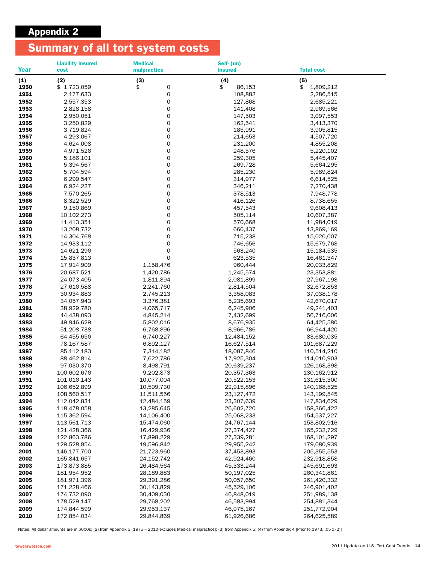## Appendix 2

# Summary of all tort system costs

|              | <b>Liability insured</b>   | <b>Medical</b>           | Self- (un)               |                            |
|--------------|----------------------------|--------------------------|--------------------------|----------------------------|
| Year         | cost                       | malpractice              | <b>insured</b>           | <b>Total cost</b>          |
| (1)          | (2)                        | (3)                      | (4)                      | (5)                        |
| 1950         | \$1,723,059                | \$<br>0                  | \$<br>86,153             | \$<br>1,809,212            |
| 1951         | 2,177,633                  | 0                        | 108,882                  | 2,286,515                  |
| 1952         | 2,557,353                  | 0                        | 127,868                  | 2,685,221                  |
| 1953<br>1954 | 2,828,158<br>2,950,051     | 0<br>0                   | 141,408<br>147,503       | 2,969,566<br>3,097,553     |
| 1955         | 3,250,829                  | 0                        | 162,541                  | 3,413,370                  |
| 1956         | 3,719,824                  | 0                        | 185,991                  | 3,905,815                  |
| 1957         | 4,293,067                  | 0                        | 214,653                  | 4,507,720                  |
| 1958         | 4,624,008                  | 0                        | 231,200                  | 4,855,208                  |
| 1959         | 4,971,526                  | 0                        | 248,576                  | 5,220,102                  |
| 1960         | 5,186,101                  | 0                        | 259,305                  | 5,445,407                  |
| 1961         | 5,394,567                  | 0                        | 269,728                  | 5,664,295                  |
| 1962         | 5,704,594                  | 0                        | 285,230                  | 5,989,824                  |
| 1963         | 6,299,547                  | 0                        | 314,977                  | 6,614,525                  |
| 1964         | 6,924,227                  | 0                        | 346,211                  | 7,270,438                  |
| 1965         | 7,570,265                  | 0                        | 378,513                  | 7,948,778                  |
| 1966         | 8,322,529                  | 0                        | 416,126                  | 8,738,655                  |
| 1967         | 9,150,869                  | 0<br>0                   | 457,543                  | 9,608,413                  |
| 1968<br>1969 | 10,102,273<br>11,413,351   | 0                        | 505,114<br>570,668       | 10,607,387<br>11,984,019   |
| 1970         | 13,208,732                 | 0                        | 660,437                  | 13,869,169                 |
| 1971         | 14,304,768                 | 0                        | 715,238                  | 15,020,007                 |
| 1972         | 14,933,112                 | 0                        | 746,656                  | 15,679,768                 |
| 1973         | 14,621,296                 | 0                        | 563,240                  | 15,184,535                 |
| 1974         | 15,837,813                 | 0                        | 623,535                  | 16,461,347                 |
| 1975         | 17,914,909                 | 1,158,476                | 960,444                  | 20,033,829                 |
| 1976         | 20,687,521                 | 1,420,786                | 1,245,574                | 23,353,881                 |
| 1977         | 24,073,405                 | 1,811,894                | 2,081,899                | 27,967,198                 |
| 1978         | 27,616,588                 | 2,241,760                | 2,814,504                | 32,672,853                 |
| 1979         | 30,934,883                 | 2,745,213                | 3,358,083                | 37,038,178                 |
| 1980         | 34,057,943                 | 3,376,381                | 5,235,693                | 42,670,017                 |
| 1981         | 38,929,780                 | 4,065,717                | 6,245,906                | 49,241,403                 |
| 1982         | 44,438,093                 | 4,845,214                | 7,432,699                | 56,716,006                 |
| 1983<br>1984 | 49,946,629<br>51,208,738   | 5,802,016<br>6,768,896   | 8,676,935<br>8,966,786   | 64,425,580<br>66,944,420   |
| 1985         | 64,455,656                 | 6,740,227                | 12,484,152               | 83,680,035                 |
| 1986         | 78,167,587                 | 6,892,127                | 16,627,514               | 101,687,229                |
| 1987         | 85,112,183                 | 7,314,182                | 18,087,846               | 110,514,210                |
| 1988         | 88,462,814                 | 7,622,786                | 17,925,304               | 114,010,903                |
| 1989         | 97,030,370                 | 8,498,791                | 20,639,237               | 126,168,398                |
| 1990         | 100,602,676                | 9,202,873                | 20,357,363               | 130,162,912                |
| 1991         | 101,016,143                | 10,077,004               | 20,522,153               | 131,615,300                |
| 1992         | 106,652,899                | 10,599,730               | 22,915,896               | 140,168,525                |
| 1993         | 108,560,517                | 11,511,556               | 23,127,472               | 143,199,545                |
| 1994         | 112,042,831                | 12,484,159               | 23,307,639               | 147,834,629                |
| 1995<br>1996 | 118,478,058<br>115,362,594 | 13,285,645<br>14,106,400 | 26,602,720               | 158,366,422<br>154,537,227 |
| 1997         | 113,561,713                | 15,474,060               | 25,068,233<br>24,767,144 | 153,802,916                |
| 1998         | 121,428,366                | 16,429,936               | 27,374,427               | 165,232,729                |
| 1999         | 122,863,786                | 17,898,229               | 27,339,281               | 168,101,297                |
| 2000         | 129,528,854                | 19,596,842               | 29,955,242               | 179,080,939                |
| 2001         | 146,177,700                | 21,723,960               | 37,453,893               | 205,355,553                |
| 2002         | 165,841,657                | 24,152,742               | 42,924,460               | 232,918,858                |
| 2003         | 173,873,885                | 26,484,564               | 45,333,244               | 245,691,693                |
| 2004         | 181,954,952                | 28,189,883               | 50,197,025               | 260,341,861                |
| 2005         | 181,971,396                | 29,391,286               | 50,057,650               | 261,420,332                |
| 2006         | 171,228,466                | 30,143,829               | 45,529,106               | 246,901,402                |
| 2007         | 174,732,090                | 30,409,030               | 46,848,019               | 251,989,138                |
| 2008<br>2009 | 178,529,147                | 29,768,202<br>29,953,137 | 46,583,994<br>46,975,167 | 254,881,344                |
| 2010         | 174,844,599<br>172,854,034 | 29,844,869               | 61,926,686               | 251,772,904<br>264,625,589 |
|              |                            |                          |                          |                            |

Notes: All dollar amounts are in \$000s; (2) from Appendix 3 [1975 – 2010 excludes Medical malpractice]; (3) from Appendix 5; (4) from Appendix 4 [Prior to 1973, .05 x (2)]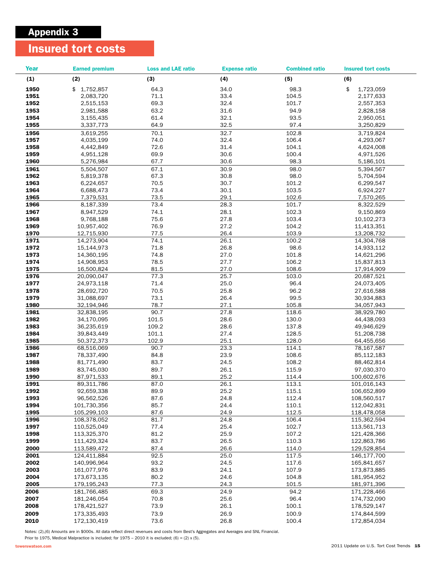## Appendix 3

## Insured tort costs

| <b>Year</b>  | <b>Earned premium</b>      | <b>Loss and LAE ratio</b> | <b>Expense ratio</b> | <b>Combined ratio</b> | <b>Insured tort costs</b>  |
|--------------|----------------------------|---------------------------|----------------------|-----------------------|----------------------------|
| (1)          | (2)                        | (3)                       | (4)                  | (5)                   | (6)                        |
| 1950         | \$1,752,857                | 64.3                      | 34.0                 | 98.3                  | \$<br>1,723,059            |
| 1951         | 2,083,720                  | 71.1                      | 33.4                 | 104.5                 | 2,177,633                  |
| 1952         | 2,515,153                  | 69.3                      | 32.4                 | 101.7                 | 2,557,353                  |
| 1953         | 2,981,588                  | 63.2                      | 31.6                 | 94.9                  | 2,828,158                  |
| 1954         | 3,155,435                  | 61.4                      | 32.1                 | 93.5                  | 2,950,051                  |
| 1955         | 3,337,773                  | 64.9                      | 32.5                 | 97.4                  | 3,250,829                  |
| 1956         | 3,619,255                  | 70.1                      | 32.7                 | 102.8                 | 3,719,824                  |
| 1957         | 4,035,199                  | 74.0                      | 32.4                 | 106.4                 | 4,293,067                  |
| 1958         | 4,442,849                  | 72.6                      | 31.4                 | 104.1                 | 4,624,008                  |
| 1959         | 4,951,128                  | 69.9                      | 30.6                 | 100.4                 | 4,971,526                  |
| 1960         | 5,276,984                  | 67.7                      | 30.6                 | 98.3                  | 5,186,101                  |
| 1961         | 5,504,507                  | 67.1                      | 30.9                 | 98.0                  | 5,394,567                  |
| 1962         | 5,819,378                  | 67.3                      | 30.8                 | 98.0                  | 5,704,594                  |
| 1963         | 6,224,657                  | 70.5                      | 30.7                 | 101.2                 | 6,299,547                  |
| 1964         | 6,688,473                  | 73.4                      | 30.1                 | 103.5                 | 6,924,227                  |
| 1965         | 7,379,531                  | 73.5                      | 29.1                 | 102.6                 | 7,570,265                  |
| 1966         | 8,187,339                  | 73.4                      | 28.3                 | 101.7                 | 8,322,529                  |
| 1967         | 8,947,529                  | 74.1                      | 28.1                 | 102.3                 | 9,150,869                  |
| 1968         | 9,768,188                  | 75.6                      | 27.8                 | 103.4                 | 10,102,273                 |
| 1969         | 10,957,402                 | 76.9                      | 27.2                 | 104.2                 | 11,413,351                 |
| 1970         | 12,715,930                 | 77.5                      | 26.4                 | 103.9                 | 13,208,732                 |
| 1971         | 14,273,904                 | 74.1                      | 26.1                 | 100.2                 | 14,304,768                 |
| 1972         | 15,144,973                 | 71.8                      | 26.8                 | 98.6                  | 14,933,112                 |
| 1973         | 14,360,195                 | 74.8                      | 27.0                 | 101.8                 | 14,621,296                 |
| 1974         | 14,908,953                 | 78.5                      | 27.7                 | 106.2                 | 15,837,813                 |
| 1975         | 16,500,824                 | 81.5                      | 27.0                 | 108.6                 | 17,914,909                 |
| 1976<br>1977 | 20,090,047<br>24,973,118   | 77.3<br>71.4              | 25.7<br>25.0         | 103.0<br>96.4         | 20,687,521                 |
| 1978         | 28,692,720                 | 70.5                      | 25.8                 | 96.2                  | 24,073,405<br>27,616,588   |
| 1979         | 31,088,697                 | 73.1                      | 26.4                 | 99.5                  | 30,934,883                 |
| 1980         | 32,194,946                 | 78.7                      | 27.1                 | 105.8                 | 34,057,943                 |
| 1981         | 32,838,195                 | 90.7                      | 27.8                 | 118.6                 | 38,929,780                 |
| 1982         | 34,170,095                 | 101.5                     | 28.6                 | 130.0                 | 44,438,093                 |
| 1983         | 36,235,619                 | 109.2                     | 28.6                 | 137.8                 | 49,946,629                 |
| 1984         | 39,843,449                 | 101.1                     | 27.4                 | 128.5                 | 51,208,738                 |
| 1985         | 50,372,373                 | 102.9                     | 25.1                 | 128.0                 | 64,455,656                 |
| 1986         | 68,516,069                 | 90.7                      | 23.3                 | 114.1                 | 78,167,587                 |
| 1987         | 78,337,490                 | 84.8                      | 23.9                 | 108.6                 | 85,112,183                 |
| 1988         | 81,771,490                 | 83.7                      | 24.5                 | 108.2                 | 88,462,814                 |
| 1989         | 83,745,030                 | 89.7                      | 26.1                 | 115.9                 | 97,030,370                 |
| 1990         | 87,971,533                 | 89.1                      | 25.2                 | 114.4                 | 100,602,676                |
| 1991         | 89,311,786                 | 87.0                      | 26.1                 | 113.1                 | 101,016,143                |
| 1992         | 92,659,338                 | 89.9                      | 25.2                 | 115.1                 | 106,652,899                |
| 1993         | 96,562,526                 | 87.6                      | 24.8                 | 112.4                 | 108,560,517                |
| 1994         | 101,730,356                | 85.7                      | 24.4                 | 110.1                 | 112,042,831                |
| 1995         | 105,299,103                | 87.6                      | 24.9                 | 112.5                 | 118,478,058                |
| 1996         | 108,378,052                | 81.7                      | 24.8                 | 106.4                 | 115,362,594                |
| 1997         | 110,525,049                | 77.4                      | 25.4                 | 102.7                 | 113,561,713                |
| 1998         | 113,325,370                | 81.2                      | 25.9                 | 107.2                 | 121,428,366                |
| 1999         | 111,429,324                | 83.7                      | 26.5                 | 110.3                 | 122,863,786                |
| 2000         | 113,589,472                | 87.4                      | 26.6                 | 114.0                 | 129,528,854                |
| 2001<br>2002 | 124,411,884<br>140,996,964 | 92.5<br>93.2              | 25.0<br>24.5         | 117.5<br>117.6        | 146,177,700<br>165,841,657 |
| 2003         | 161,077,976                | 83.9                      | 24.1                 | 107.9                 | 173,873,885                |
| 2004         | 173,673,135                | 80.2                      | 24.6                 | 104.8                 | 181,954,952                |
| 2005         | 179,195,243                | 77.3                      | 24.3                 | 101.5                 | 181,971,396                |
| 2006         | 181,766,485                | 69.3                      | 24.9                 | 94.2                  | 171,228,466                |
| 2007         | 181,246,054                | 70.8                      | 25.6                 | 96.4                  | 174,732,090                |
| 2008         | 178,421,527                | 73.9                      | 26.1                 | 100.1                 | 178,529,147                |
| 2009         | 173,335,493                | 73.9                      | 26.9                 | 100.9                 | 174,844,599                |
| 2010         | 172,130,419                | 73.6                      | 26.8                 | 100.4                 | 172,854,034                |
|              |                            |                           |                      |                       |                            |

Notes: (2),(6) Amounts are in \$000s. All data reflect direct revenues and costs from Best's Aggregates and Averages and SNL Financial.

Prior to 1975, Medical Malpractice is included; for  $1975 - 2010$  it is excluded; (6) = (2) x (5).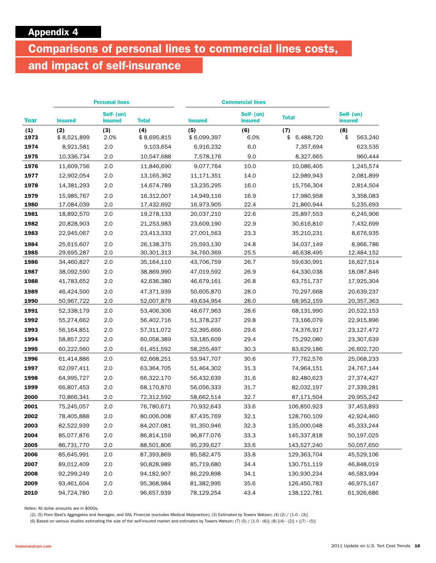# Comparisons of personal lines to commercial lines costs,

# and impact of self-insurance

|             | <b>Personal lines</b> |                              |                    | <b>Commercial lines</b> |                              |                        |                              |
|-------------|-----------------------|------------------------------|--------------------|-------------------------|------------------------------|------------------------|------------------------------|
| <b>Year</b> | <b>Insured</b>        | Self- (un)<br><b>insured</b> | <b>Total</b>       | <b>Insured</b>          | Self- (un)<br><b>insured</b> | <b>Total</b>           | Self- (un)<br><b>insured</b> |
| (1)<br>1973 | (2)<br>\$8,521,899    | (3)<br>2.0%                  | (4)<br>\$8,695,815 | (5)<br>\$6,099,397      | (6)<br>6.0%                  | (7)<br>6,488,720<br>\$ | (8)<br>\$<br>563,240         |
| 1974        | 8,921,581             | 2.0                          | 9,103,654          | 6,916,232               | 6.0                          | 7,357,694              | 623,535                      |
| 1975        | 10,336,734            | 2.0                          | 10,547,688         | 7,578,176               | 9.0                          | 8,327,665              | 960,444                      |
| 1976        | 11,609,756            | 2.0                          | 11,846,690         | 9,077,764               | 10.0                         | 10,086,405             | 1,245,574                    |
| 1977        | 12,902,054            | 2.0                          | 13,165,362         | 11,171,351              | 14.0                         | 12,989,943             | 2,081,899                    |
| 1978        | 14,381,293            | 2.0                          | 14,674,789         | 13,235,295              | 16.0                         | 15,756,304             | 2,814,504                    |
| 1979        | 15,985,767            | $2.0\,$                      | 16,312,007         | 14,949,116              | 16.9                         | 17,980,958             | 3,358,083                    |
| 1980        | 17,084,039            | 2.0                          | 17,432,692         | 16,973,905              | 22.4                         | 21,860,944             | 5,235,693                    |
| 1981        | 18,892,570            | 2.0                          | 19,278,133         | 20,037,210              | 22.6                         | 25,897,553             | 6,245,906                    |
| 1982        | 20,828,903            | 2.0                          | 21,253,983         | 23,609,190              | 22.9                         | 30,616,810             | 7,432,699                    |
| 1983        | 22,945,067            | 2.0                          | 23,413,333         | 27,001,563              | 23.3                         | 35,210,231             | 8,676,935                    |
| 1984        | 25,615,607            | 2.0                          | 26,138,375         | 25,593,130              | 24.8                         | 34,037,149             | 8,966,786                    |
| 1985        | 29,695,287            | 2.0                          | 30,301,313         | 34,760,369              | 25.5                         | 46,638,495             | 12,484,152                   |
| 1986        | 34,460,827            | 2.0                          | 35,164,110         | 43,706,759              | 26.7                         | 59,630,991             | 16,627,514                   |
| 1987        | 38,092,590            | 2.0                          | 38,869,990         | 47,019,592              | 26.9                         | 64,330,038             | 18,087,846                   |
| 1988        | 41,783,652            | 2.0                          | 42,636,380         | 46,679,161              | 26.8                         | 63,751,737             | 17,925,304                   |
| 1989        | 46,424,500            | 2.0                          | 47,371,939         | 50,605,870              | 28.0                         | 70,297,668             | 20,639,237                   |
| 1990        | 50,967,722            | 2.0                          | 52,007,879         | 49,634,954              | 28.0                         | 68,952,159             | 20,357,363                   |
| 1991        | 52,338,179            | 2.0                          | 53,406,306         | 48,677,963              | 28.6                         | 68,131,990             | 20,522,153                   |
| 1992        | 55,274,662            | 2.0                          | 56,402,716         | 51,378,237              | 29.8                         | 73,166,079             | 22,915,896                   |
| 1993        | 56,164,851            | 2.0                          | 57,311,072         | 52,395,666              | 29.6                         | 74,376,917             | 23,127,472                   |
| 1994        | 58,857,222            | 2.0                          | 60,058,389         | 53,185,609              | 29.4                         | 75,292,080             | 23,307,639                   |
| 1995        | 60,222,560            | 2.0                          | 61,451,592         | 58,255,497              | 30.3                         | 83,629,186             | 26,602,720                   |
| 1996        | 61,414,886            | $2.0\,$                      | 62,668,251         | 53,947,707              | 30.6                         | 77,762,576             | 25,068,233                   |
| 1997        | 62,097,411            | 2.0                          | 63,364,705         | 51,464,302              | 31.3                         | 74,964,151             | 24,767,144                   |
| 1998        | 64,995,727            | 2.0                          | 66,322,170         | 56,432,639              | 31.6                         | 82,480,623             | 27,374,427                   |
| 1999        | 66,807,453            | 2.0                          | 68,170,870         | 56,056,333              | 31.7                         | 82,032,197             | 27,339,281                   |
| 2000        | 70,866,341            | 2.0                          | 72,312,592         | 58,662,514              | 32.7                         | 87,171,504             | 29,955,242                   |
| 2001        | 75,245,057            | 2.0                          | 76,780,671         | 70,932,643              | 33.6                         | 106,850,923            | 37,453,893                   |
| 2002        | 78,405,888            | 2.0                          | 80,006,008         | 87,435,769              | 32.1                         | 128,760,109            | 42,924,460                   |
| 2003        | 82,522,939            | 2.0                          | 84,207,081         | 91,350,946              | 32.3                         | 135,000,048            | 45,333,244                   |
| 2004        | 85,077,876            | 2.0                          | 86,814,159         | 96,877,076              | 33.3                         | 145,337,818            | 50,197,025                   |
| 2005        | 86,731,770            | 2.0                          | 88,501,806         | 95,239,627              | 33.6                         | 143,527,240            | 50,057,650                   |
| 2006        | 85,645,991            | 2.0                          | 87,393,869         | 85,582,475              | 33.8                         | 129,363,704            | 45,529,106                   |
| 2007        | 89,012,409            | 2.0                          | 90,828,989         | 85,719,680              | 34.4                         | 130,751,119            | 46,848,019                   |
| 2008        | 92,299,249            | 2.0                          | 94,182,907         | 86,229,898              | 34.1                         | 130,930,234            | 46,583,994                   |
| 2009        | 93,461,604            | 2.0                          | 95,368,984         | 81,382,995              | 35.6                         | 126,450,783            | 46,975,167                   |
| 2010        | 94,724,780            | $2.0\,$                      | 96,657,939         | 78,129,254              | 43.4                         | 138,122,781            | 61,926,686                   |

Notes: All dollar amounts are in \$000s.

(2), (5) From Best's Aggregates and Averages, and SNL Financial (excludes Medical Malpractice); (3) Estimated by Towers Watson; (4) (2) / [1.0 - (3)]

(6) Based on various studies estimating the size of the self-insured market and estimates by Towers Watson; (7) (5) /  $[1.0 \cdot (6)]$ ; (8)  $[ (4) \cdot (2)] + [ (7) \cdot (5) ]$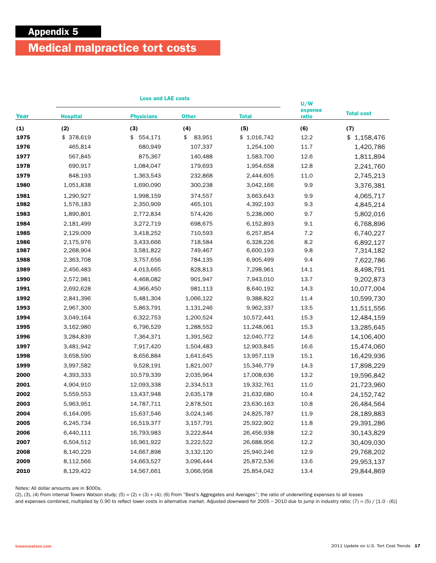# Medical malpractice tort costs

|      | <b>Loss and LAE costs</b> |                   |              |              | U/W              |                   |
|------|---------------------------|-------------------|--------------|--------------|------------------|-------------------|
| Year | <b>Hospital</b>           | <b>Physicians</b> | <b>Other</b> | <b>Total</b> | expense<br>ratio | <b>Total cost</b> |
| (1)  | (2)                       | (3)               | (4)          | (5)          | (6)              | (7)               |
| 1975 | \$ 378,619                | \$<br>554,171     | \$<br>83,951 | \$1,016,742  | 12.2             | \$1,158,476       |
| 1976 | 465,814                   | 680,949           | 107,337      | 1,254,100    | 11.7             | 1,420,786         |
| 1977 | 567,845                   | 875,367           | 140,488      | 1,583,700    | 12.6             | 1,811,894         |
| 1978 | 690,917                   | 1,084,047         | 179,693      | 1,954,658    | 12.8             | 2,241,760         |
| 1979 | 848,193                   | 1,363,543         | 232,868      | 2,444,605    | 11.0             | 2,745,213         |
| 1980 | 1,051,838                 | 1,690,090         | 300,238      | 3,042,166    | 9.9              | 3,376,381         |
| 1981 | 1,290,927                 | 1,998,159         | 374,557      | 3,663,643    | 9.9              | 4,065,717         |
| 1982 | 1,576,183                 | 2,350,909         | 465,101      | 4,392,193    | 9.3              | 4,845,214         |
| 1983 | 1,890,801                 | 2,772,834         | 574,426      | 5,238,060    | 9.7              | 5,802,016         |
| 1984 | 2,181,499                 | 3,272,719         | 698,675      | 6,152,893    | 9.1              | 6,768,896         |
| 1985 | 2,129,009                 | 3,418,252         | 710,593      | 6,257,854    | 7.2              | 6,740,227         |
| 1986 | 2,175,976                 | 3,433,666         | 718,584      | 6,328,226    | 8.2              | 6,892,127         |
| 1987 | 2,268,904                 | 3,581,822         | 749,467      | 6,600,193    | 9.8              | 7,314,182         |
| 1988 | 2,363,708                 | 3,757,656         | 784,135      | 6,905,499    | 9.4              | 7,622,786         |
| 1989 | 2,456,483                 | 4,013,665         | 828,813      | 7,298,961    | 14.1             | 8,498,791         |
| 1990 | 2,572,981                 | 4,468,082         | 901,947      | 7,943,010    | 13.7             | 9,202,873         |
| 1991 | 2,692,628                 | 4,966,450         | 981,113      | 8,640,192    | 14.3             | 10,077,004        |
| 1992 | 2,841,396                 | 5,481,304         | 1,066,122    | 9,388,822    | 11.4             | 10,599,730        |
| 1993 | 2,967,300                 | 5,863,791         | 1,131,246    | 9,962,337    | 13.5             | 11,511,556        |
| 1994 | 3,049,164                 | 6,322,753         | 1,200,524    | 10,572,441   | 15.3             | 12,484,159        |
| 1995 | 3,162,980                 | 6,796,529         | 1,288,552    | 11,248,061   | 15.3             | 13,285,645        |
| 1996 | 3,284,839                 | 7,364,371         | 1,391,562    | 12,040,772   | 14.6             | 14,106,400        |
| 1997 | 3,481,942                 | 7,917,420         | 1,504,483    | 12,903,845   | 16.6             | 15,474,060        |
| 1998 | 3,658,590                 | 8,656,884         | 1,641,645    | 13,957,119   | 15.1             | 16,429,936        |
| 1999 | 3,997,582                 | 9,528,191         | 1,821,007    | 15,346,779   | 14.3             | 17,898,229        |
| 2000 | 4,393,333                 | 10,579,339        | 2,035,964    | 17,008,636   | 13.2             | 19,596,842        |
| 2001 | 4,904,910                 | 12,093,338        | 2,334,513    | 19,332,761   | 11.0             | 21,723,960        |
| 2002 | 5,559,553                 | 13,437,948        | 2,635,178    | 21,632,680   | 10.4             | 24,152,742        |
| 2003 | 5,963,951                 | 14,787,711        | 2,878,501    | 23,630,163   | 10.8             | 26,484,564        |
| 2004 | 6,164,095                 | 15,637,546        | 3,024,146    | 24,825,787   | 11.9             | 28,189,883        |
| 2005 | 6,245,734                 | 16,519,377        | 3,157,791    | 25,922,902   | 11.8             | 29,391,286        |
| 2006 | 6,440,111                 | 16,793,983        | 3,222,844    | 26,456,938   | 12.2             | 30,143,829        |
| 2007 | 6,504,512                 | 16,961,922        | 3,222,522    | 26,688,956   | 12.2             | 30,409,030        |
| 2008 | 8,140,229                 | 14,667,898        | 3,132,120    | 25,940,246   | 12.9             | 29,768,202        |
| 2009 | 8,112,566                 | 14,663,527        | 3,096,444    | 25,872,536   | 13.6             | 29,953,137        |
| 2010 | 8,129,422                 | 14,567,661        | 3,066,958    | 25,854,042   | 13.4             | 29,844,869        |

Notes: All dollar amounts are in \$000s.

 $(2)$ ,  $(3)$ ,  $(4)$  From internal Towers Watson study;  $(5) = (2) + (3) + (4)$ ;  $(6)$  From "Best's Aggregates and Averages"; the ratio of underwriting expenses to all losses

and expenses combined, multiplied by 0.90 to reflect lower costs in alternative market. Adjusted downward for  $2005 - 2010$  due to jump in industry ratio; (7) = (5) / [1.0 - (6)]